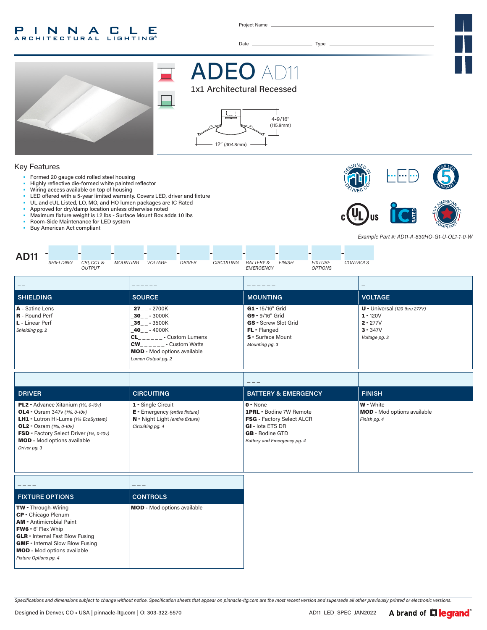#### INNA  $CLLE$ P. **ARCHITECTURAL**

Project Name

Date Type





ADEO

### Key Features

- Formed 20 gauge cold rolled steel housing
- Highly reflective die-formed white painted reflector
- Wiring access available on top of housing
- LED offered with a 5-year limited warranty. Covers LED, driver and fixture
- UL and cUL Listed, LO, MO, and HO lumen packages are IC Rated
- Approved for dry/damp location unless otherwise noted
- Maximum fixture weight is 12 lbs Surface Mount Box adds 10 lbs • Room-Side Maintenance for LED system
- 
- Buy American Act compliant

GMF - Internal Slow Blow Fusing MOD **-** Mod options available

*Fixture Options pg. 4*



*Example Part #: AD11-A-830HO-G1-U-OL1-1-0-W*

| <b>AD11</b><br><b>SHIELDING</b><br><b>MOUNTING</b><br>CRI, CCT &<br><b>OUTPUT</b>                                                                                                                                                                      | <b>DRIVER</b><br><b>CIRCUITING</b><br><b>VOLTAGE</b>                                                                                                                                                                | <b>FIXTURE</b><br><b>CONTROLS</b><br><b>BATTERY &amp;</b><br><b>FINISH</b><br>EMERGENCY<br><b>OPTIONS</b>                                       |                                                                                            |  |  |
|--------------------------------------------------------------------------------------------------------------------------------------------------------------------------------------------------------------------------------------------------------|---------------------------------------------------------------------------------------------------------------------------------------------------------------------------------------------------------------------|-------------------------------------------------------------------------------------------------------------------------------------------------|--------------------------------------------------------------------------------------------|--|--|
|                                                                                                                                                                                                                                                        |                                                                                                                                                                                                                     |                                                                                                                                                 | $\overline{\phantom{m}}$                                                                   |  |  |
| <b>SHIELDING</b>                                                                                                                                                                                                                                       | <b>SOURCE</b>                                                                                                                                                                                                       | <b>MOUNTING</b>                                                                                                                                 | <b>VOLTAGE</b>                                                                             |  |  |
| A - Satine Lens<br><b>R</b> - Round Perf<br>L - Linear Perf<br>Shielding pg. 2                                                                                                                                                                         | $27 - -2700K$<br>$30 - -3000K$<br>$-35$ <sub>--</sub> $-3500K$<br>$40 - - 4000K$<br>$CL_{\_\_--\_\_--}$ - Custom Lumens<br>$CW_{------}$ - Custom Watts<br><b>MOD</b> - Mod options available<br>Lumen Output pg. 2 | G1 - 15/16" Grid<br>G9 - 9/16" Grid<br>GS - Screw Slot Grid<br>FL - Flanged<br>S - Surface Mount<br>Mounting pg. 3                              | $U -$ Universal (120 thru 277V)<br>$1 - 120V$<br>$2 - 277V$<br>$3 - 347V$<br>Voltage pg. 3 |  |  |
|                                                                                                                                                                                                                                                        |                                                                                                                                                                                                                     |                                                                                                                                                 |                                                                                            |  |  |
| <b>DRIVER</b>                                                                                                                                                                                                                                          | <b>CIRCUITING</b>                                                                                                                                                                                                   | <b>BATTERY &amp; EMERGENCY</b><br><b>FINISH</b>                                                                                                 |                                                                                            |  |  |
| PL2 - Advance Xitanium (1%, 0-10v)<br><b>OL4</b> - Osram 347v (1%, 0-10v)<br>LH1 - Lutron Hi-Lume (1% EcoSystem)<br><b>OL2</b> - Osram $(1\%, 0-10v)$<br>FSD - Factory Select Driver (1%, 0-10v)<br><b>MOD</b> - Mod options available<br>Driver pg. 3 | 1 - Single Circuit<br>E - Emergency (entire fixture)<br>N - Night Light (entire fixture)<br>Circuiting pg. 4                                                                                                        | $0 - None$<br>1PRL - Bodine 7W Remote<br>FSG - Factory Select ALCR<br>GI - lota ETS DR<br><b>GB</b> - Bodine GTD<br>Battery and Emergency pg. 4 | W - White<br><b>MOD</b> - Mod options available<br>Finish pg. 4                            |  |  |
|                                                                                                                                                                                                                                                        | ---                                                                                                                                                                                                                 |                                                                                                                                                 |                                                                                            |  |  |
| <b>FIXTURE OPTIONS</b>                                                                                                                                                                                                                                 | <b>CONTROLS</b>                                                                                                                                                                                                     |                                                                                                                                                 |                                                                                            |  |  |
| TW - Through-Wiring<br>CP - Chicago Plenum<br><b>AM - Antimicrobial Paint</b><br><b>FW6 - 6' Flex Whip</b><br><b>GLR</b> - Internal Fast Blow Fusing                                                                                                   | <b>MOD</b> - Mod options available                                                                                                                                                                                  |                                                                                                                                                 |                                                                                            |  |  |

*Specifications and dimensions subject to change without notice. Specification sheets that appear on pinnacle-ltg.com are the most recent version and supersede all other previously printed or electronic versions.*

Designed in Denver, CO • USA | pinnacle-ltg.com | O: 303-322-5570 AD11\_LED\_SPEC\_JAN2022

A brand of Liegrand®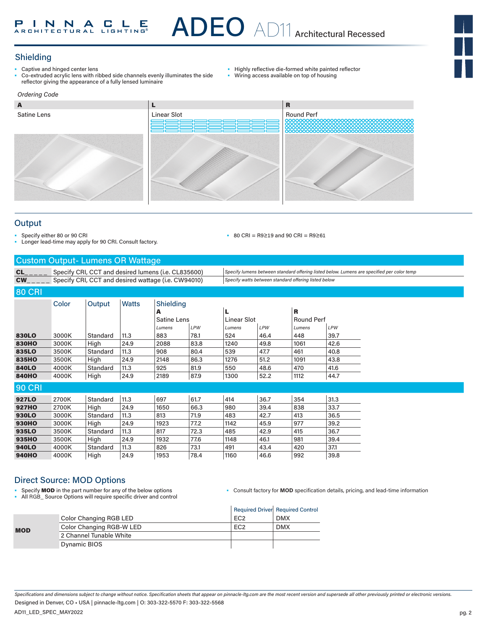## Shielding

- Captive and hinged center lens
- Co-extruded acrylic lens with ribbed side channels evenly illuminates the side reflector giving the appearance of a fully lensed luminaire
- Highly reflective die-formed white painted reflector
- Wiring access available on top of housing

• 80 CRI = R9≥19 and 90 CRI = R9≥61



### **Output**

Specify either 80 or 90 CRI

- Longer lead-time may apply for 90 CRI. Consult factory.
- Custom Output- Lumens OR Wattage

CL\_ \_ \_ \_ \_ Specify CRI, CCT and desired lumens (i.e. CL835600) *Specify lumens between standard offering listed below. Lumens are specified per color temp* CW\_ \_ \_ \_ \_ Specify CRI, CCT and desired wattage (i.e. CW94010) *Specify watts between standard offering listed below*

## 80 CRI

|               | Color | Output   | <b>Watts</b> | Shielding          |      |                    |      |                   |            |
|---------------|-------|----------|--------------|--------------------|------|--------------------|------|-------------------|------------|
|               |       |          |              | A                  |      | L                  |      | R                 |            |
|               |       |          |              | <b>Satine Lens</b> |      | <b>Linear Slot</b> |      | <b>Round Perf</b> |            |
|               |       |          |              | Lumens             | LPW  | Lumens             | LPW  | Lumens            | <b>LPW</b> |
| 830LO         | 3000K | Standard | 11.3         | 883                | 78.1 | 524                | 46.4 | 448               | 39.7       |
| <b>830HO</b>  | 3000K | High     | 24.9         | 2088               | 83.8 | 1240               | 49.8 | 1061              | 42.6       |
| 835LO         | 3500K | Standard | 11.3         | 908                | 80.4 | 539                | 47.7 | 461               | 40.8       |
| 835HO         | 3500K | High     | 24.9         | 2148               | 86.3 | 1276               | 51.2 | 1091              | 43.8       |
| 840LO         | 4000K | Standard | 11.3         | 925                | 81.9 | 550                | 48.6 | 470               | 41.6       |
| <b>840HO</b>  | 4000K | High     | 24.9         | 2189               | 87.9 | 1300               | 52.2 | 1112              | 44.7       |
| <b>90 CRI</b> |       |          |              |                    |      |                    |      |                   |            |
| 927LO         | 2700K | Standard | 11.3         | 697                | 61.7 | 414                | 36.7 | 354               | 31.3       |
| <b>927HO</b>  | 2700K | High     | 24.9         | 1650               | 66.3 | 980                | 39.4 | 838               | 33.7       |
| 930LO         | 3000K | Standard | 11.3         | 813                | 71.9 | 483                | 42.7 | 413               | 36.5       |
| 930HO         | 3000K | High     | 24.9         | 1923               | 77.2 | 1142               | 45.9 | 977               | 39.2       |
| 935LO         | 3500K | Standard | 11.3         | 817                | 72.3 | 485                | 42.9 | 415               | 36.7       |
| 935HO         | 3500K | High     | 24.9         | 1932               | 77.6 | 1148               | 46.1 | 981               | 39.4       |
| 940LO         | 4000K | Standard | 11.3         | 826                | 73.1 | 491                | 43.4 | 420               | 37.1       |
| <b>940HO</b>  | 4000K | High     | 24.9         | 1953               | 78.4 | 1160               | 46.6 | 992               | 39.8       |

## Direct Source: MOD Options

Specify **MOD** in the part number for any of the below options • All RGB\_ Source Options will require specific driver and control • Consult factory for **MOD** specification details, pricing, and lead-time information

|            |                          |                 | Required Driver Required Control |
|------------|--------------------------|-----------------|----------------------------------|
|            | Color Changing RGB LED   | FC <sub>2</sub> | <b>DMX</b>                       |
| <b>MOD</b> | Color Changing RGB-W LED | FC <sub>2</sub> | <b>DMX</b>                       |
|            | 2 Channel Tunable White  |                 |                                  |
|            | Dynamic BIOS             |                 |                                  |

*Specifications and dimensions subject to change without notice. Specification sheets that appear on pinnacle-ltg.com are the most recent version and supersede all other previously printed or electronic versions.* Designed in Denver, CO • USA | pinnacle-ltg.com | O: 303-322-5570 F: 303-322-5568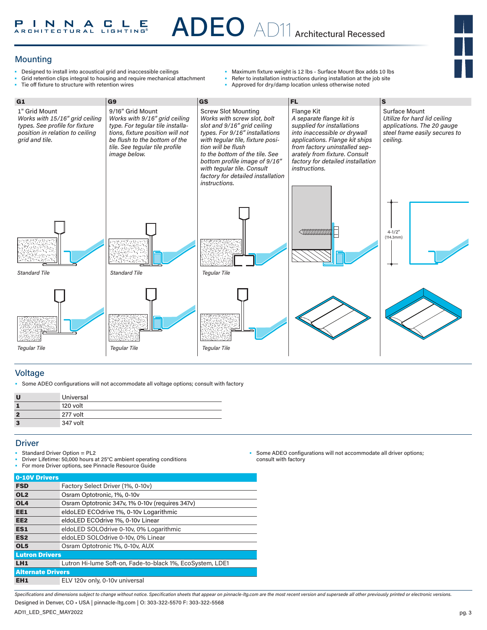## Mounting

- Designed to install into acoustical grid and inaccessible ceilings
- Grid retention clips integral to housing and require mechanical attachment<br>• Tie off fixture to structure with retention wires Tie off fixture to structure with retention wires
- Maximum fixture weight is 12 lbs Surface Mount Box adds 10 lbs
- Refer to installation instructions during installation at the job site<br>• Approved for dry/damp location unless otherwise noted
	- Approved for dry/damp location unless otherwise noted



### Voltage

• Some ADEO configurations will not accommodate all voltage options; consult with factory

| U | Universal |
|---|-----------|
|   | 120 volt  |
| 2 | 277 volt  |
| 3 | 347 volt  |

### **Driver**

- Standard Driver Option = PL2
- Driver Lifetime: 50,000 hours at 25°C ambient operating conditions

For more Driver options, see Pinnacle Resource Guide

| 0-10V Drivers            |                                                           |
|--------------------------|-----------------------------------------------------------|
| <b>FSD</b>               | Factory Select Driver (1%, 0-10v)                         |
| OL <sub>2</sub>          | Osram Optotronic, 1%, 0-10v                               |
| OL <sub>4</sub>          | Osram Optotronic 347v, 1% 0-10v (requires 347v)           |
| EE1                      | eldoLED ECOdrive 1%, 0-10y Logarithmic                    |
| EE <sub>2</sub>          | eldoLED ECOdrive 1%, 0-10v Linear                         |
| ES1                      | eldoLED SOLOdrive 0-10v, 0% Logarithmic                   |
| ES <sub>2</sub>          | eldoLED SOLOdrive 0-10v, 0% Linear                        |
| OL <sub>5</sub>          | Osram Optotronic 1%, 0-10y, AUX                           |
| <b>Lutron Drivers</b>    |                                                           |
| LH <sub>1</sub>          | Lutron Hi-lume Soft-on, Fade-to-black 1%, EcoSystem, LDE1 |
| <b>Alternate Drivers</b> |                                                           |
| EH <sub>1</sub>          | ELV 120v only, 0-10v universal                            |

Some ADEO configurations will not accommodate all driver options; consult with factory

*Specifications and dimensions subject to change without notice. Specification sheets that appear on pinnacle-ltg.com are the most recent version and supersede all other previously printed or electronic versions.* Designed in Denver, CO • USA | pinnacle-ltg.com | O: 303-322-5570 F: 303-322-5568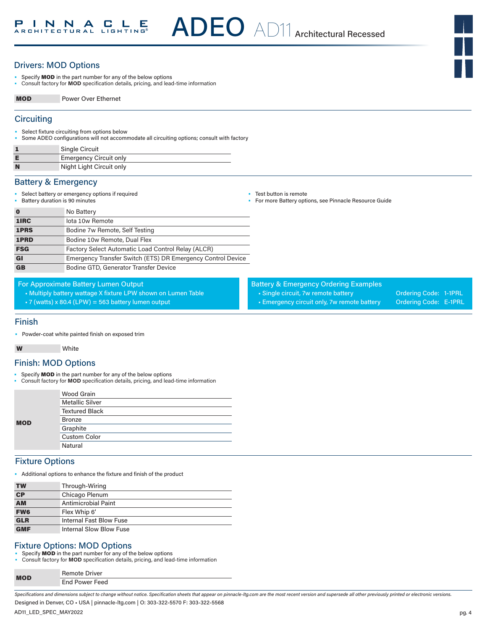## Drivers: MOD Options

- Specify MOD in the part number for any of the below options
- Consult factory for **MOD** specification details, pricing, and lead-time information

MOD Power Over Ethernet

### **Circuiting**

- Select fixture circuiting from options below
- Some ADEO configurations will not accommodate all circuiting options; consult with factory

|   | Single Circuit                |
|---|-------------------------------|
|   | <b>Emergency Circuit only</b> |
| N | Night Light Circuit only      |

### Battery & Emergency

• Select battery or emergency options if required • Battery duration is 90 minutes

 $N_2$  Battery

- Test button is remote
- For more Battery options, see Pinnacle Resource Guide

Battery & Emergency Ordering Examples

• Single circuit, 7w remote battery **Ordering Code: 1-1PRL** • Emergency circuit only, 7w remote battery Ordering Code: E-1PRL

| U          | <b>IVO DATE V</b>                                           |
|------------|-------------------------------------------------------------|
| 1IRC       | lota 10w Remote                                             |
| 1PRS       | Bodine 7w Remote, Self Testing                              |
| 1PRD       | Bodine 10w Remote, Dual Flex                                |
| <b>FSG</b> | Factory Select Automatic Load Control Relay (ALCR)          |
| GI         | Emergency Transfer Switch (ETS) DR Emergency Control Device |
| <b>GB</b>  | Bodine GTD, Generator Transfer Device                       |
|            |                                                             |

For Approximate Battery Lumen Output

• Multiply battery wattage X fixture LPW shown on Lumen Table

• 7 (watts) x 80.4 (LPW) = 563 battery lumen output

### Finish

• Powder-coat white painted finish on exposed trim

#### W White

### Finish: MOD Options

- Specify **MOD** in the part number for any of the below options
- Consult factory for **MOD** specification details, pricing, and lead-time information

|            | Wood Grain             |  |  |  |
|------------|------------------------|--|--|--|
|            | <b>Metallic Silver</b> |  |  |  |
|            | <b>Textured Black</b>  |  |  |  |
| <b>MOD</b> | <b>Bronze</b>          |  |  |  |
|            | Graphite               |  |  |  |
|            | <b>Custom Color</b>    |  |  |  |
|            | Natural                |  |  |  |

### Fixture Options

• Additional options to enhance the fixture and finish of the product

| <b>TW</b>                | Through-Wiring          |
|--------------------------|-------------------------|
| $\overline{\mathsf{CP}}$ | Chicago Plenum          |
| <b>AM</b>                | Antimicrobial Paint     |
| <b>FW6</b>               | Flex Whip 6'            |
| <b>GLR</b>               | Internal Fast Blow Fuse |
| <b>GMF</b>               | Internal Slow Blow Fuse |

## Fixture Options: MOD Options

• Specify MOD in the part number for any of the below options

• Consult factory for **MOD** specification details, pricing, and lead-time information

| <b>MOD</b> | <b>Remote Driver</b> |
|------------|----------------------|
|            | End Power Feed       |
|            |                      |

*Specifications and dimensions subject to change without notice. Specification sheets that appear on pinnacle-ltg.com are the most recent version and supersede all other previously printed or electronic versions.* Designed in Denver, CO • USA | pinnacle-ltg.com | O: 303-322-5570 F: 303-322-5568

AD11\_LED\_SPEC\_MAY2022